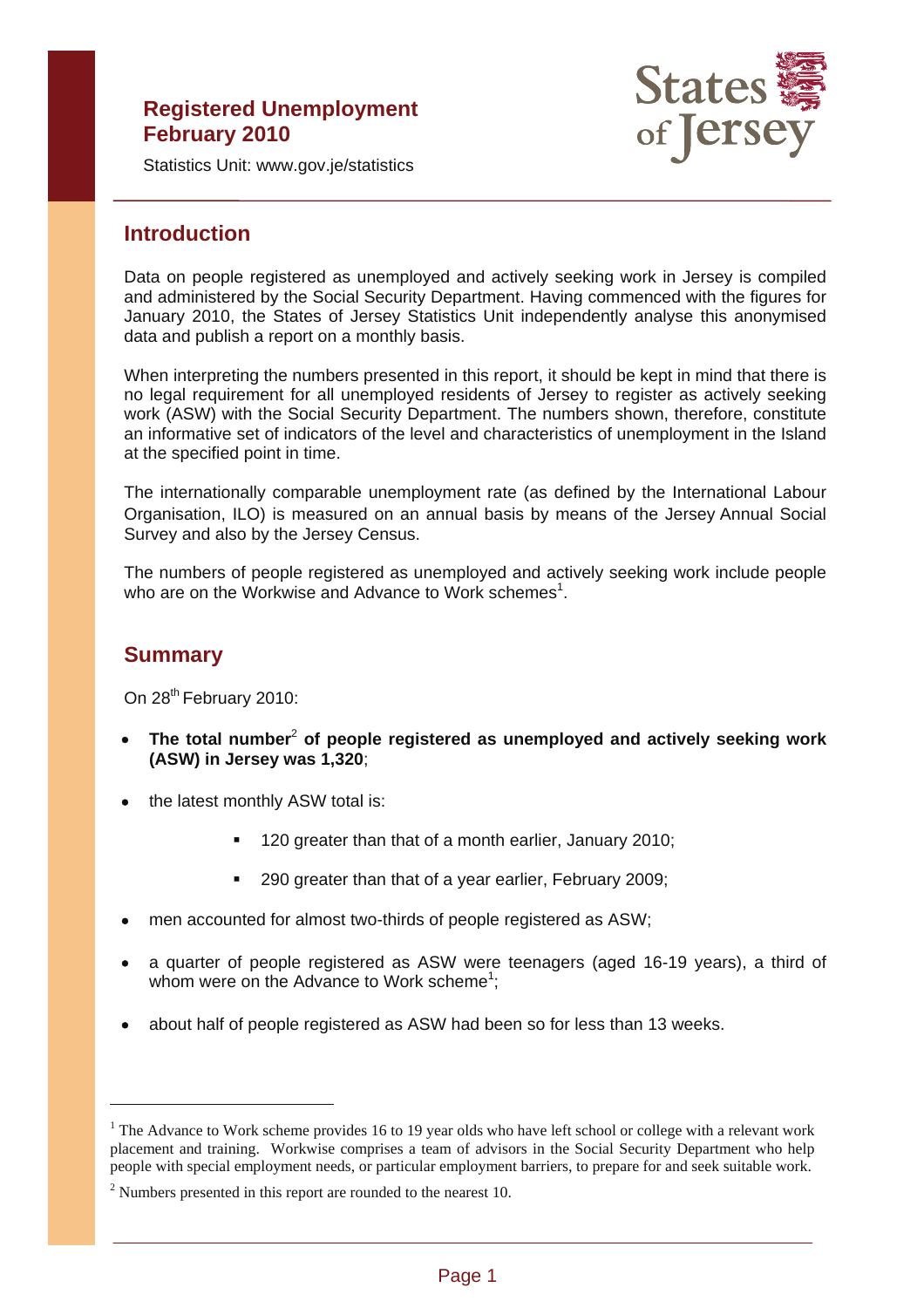# **Registered Unemployment February 2010**



Statistics Unit: www.gov.je/statistics

## **Introduction**

Data on people registered as unemployed and actively seeking work in Jersey is compiled and administered by the Social Security Department. Having commenced with the figures for January 2010, the States of Jersey Statistics Unit independently analyse this anonymised data and publish a report on a monthly basis.

When interpreting the numbers presented in this report, it should be kept in mind that there is no legal requirement for all unemployed residents of Jersey to register as actively seeking work (ASW) with the Social Security Department. The numbers shown, therefore, constitute an informative set of indicators of the level and characteristics of unemployment in the Island at the specified point in time.

The internationally comparable unemployment rate (as defined by the International Labour Organisation, ILO) is measured on an annual basis by means of the Jersey Annual Social Survey and also by the Jersey Census.

The numbers of people registered as unemployed and actively seeking work include people who are on the Workwise and Advance to Work schemes<sup>1</sup>.

## **Summary**

 $\overline{a}$ 

On 28<sup>th</sup> February 2010:

- • **The total number**<sup>2</sup> **of people registered as unemployed and actively seeking work (ASW) in Jersey was 1,320**;
- the latest monthly ASW total is:
	- 120 greater than that of a month earlier, January 2010;
	- 290 greater than that of a year earlier, February 2009;
- men accounted for almost two-thirds of people registered as ASW;
- a quarter of people registered as ASW were teenagers (aged 16-19 years), a third of whom were on the Advance to Work scheme<sup>1</sup>;
- about half of people registered as ASW had been so for less than 13 weeks.

<sup>&</sup>lt;sup>1</sup> The Advance to Work scheme provides 16 to 19 year olds who have left school or college with a relevant work placement and training. Workwise comprises a team of advisors in the Social Security Department who help people with special employment needs, or particular employment barriers, to prepare for and seek suitable work.

 $2$  Numbers presented in this report are rounded to the nearest 10.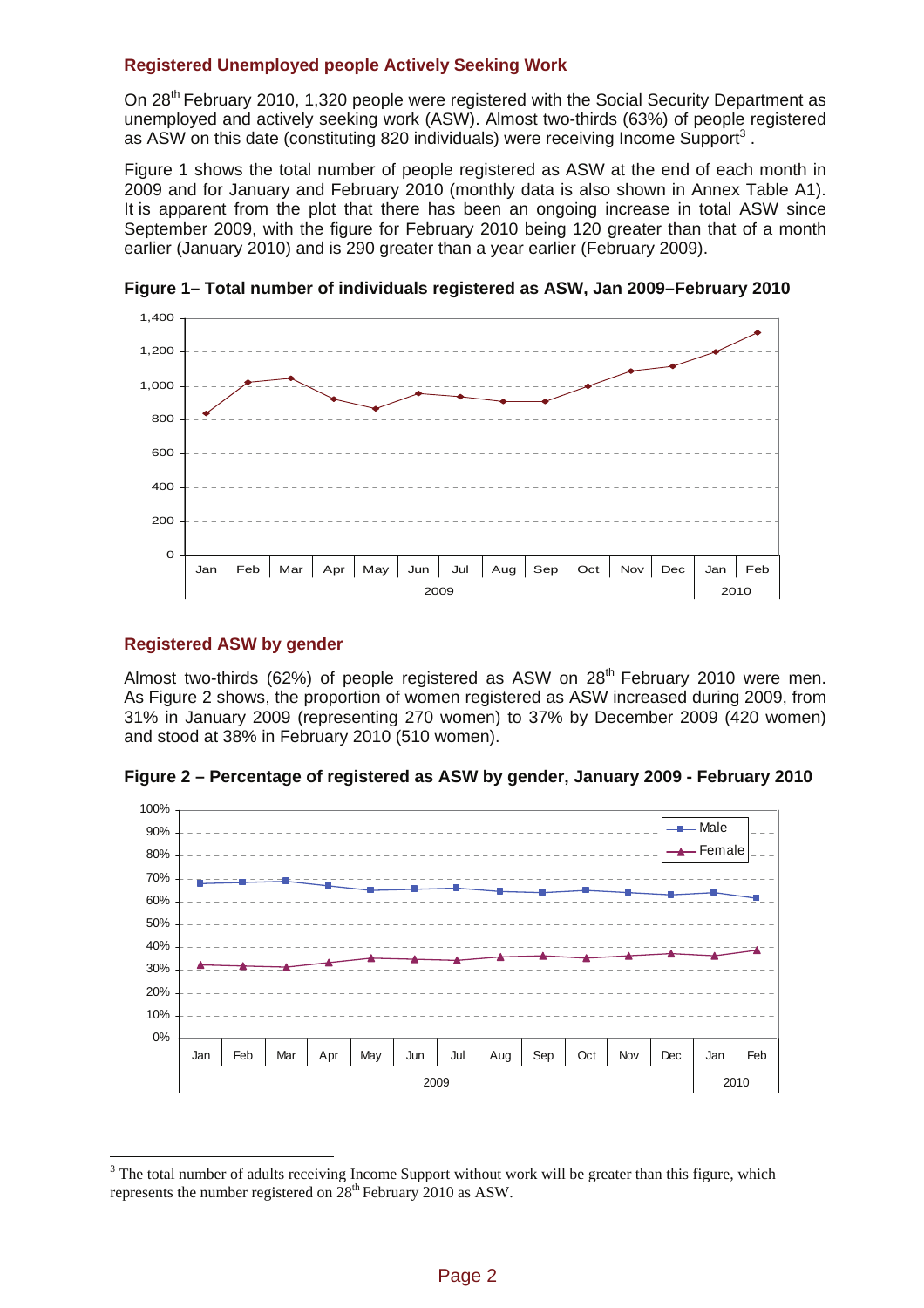## **Registered Unemployed people Actively Seeking Work**

On 28th February 2010, 1,320 people were registered with the Social Security Department as unemployed and actively seeking work (ASW). Almost two-thirds (63%) of people registered as ASW on this date (constituting 820 individuals) were receiving Income Support<sup>3</sup>.

Figure 1 shows the total number of people registered as ASW at the end of each month in 2009 and for January and February 2010 (monthly data is also shown in Annex Table A1). It is apparent from the plot that there has been an ongoing increase in total ASW since September 2009, with the figure for February 2010 being 120 greater than that of a month earlier (January 2010) and is 290 greater than a year earlier (February 2009).



**Figure 1– Total number of individuals registered as ASW, Jan 2009–February 2010** 

## **Registered ASW by gender**

 $\overline{a}$ 

Almost two-thirds (62%) of people registered as ASW on  $28<sup>th</sup>$  February 2010 were men. As Figure 2 shows, the proportion of women registered as ASW increased during 2009, from 31% in January 2009 (representing 270 women) to 37% by December 2009 (420 women) and stood at 38% in February 2010 (510 women).

**Figure 2 – Percentage of registered as ASW by gender, January 2009 - February 2010** 



 $3$  The total number of adults receiving Income Support without work will be greater than this figure, which represents the number registered on  $28<sup>th</sup>$  February 2010 as ASW.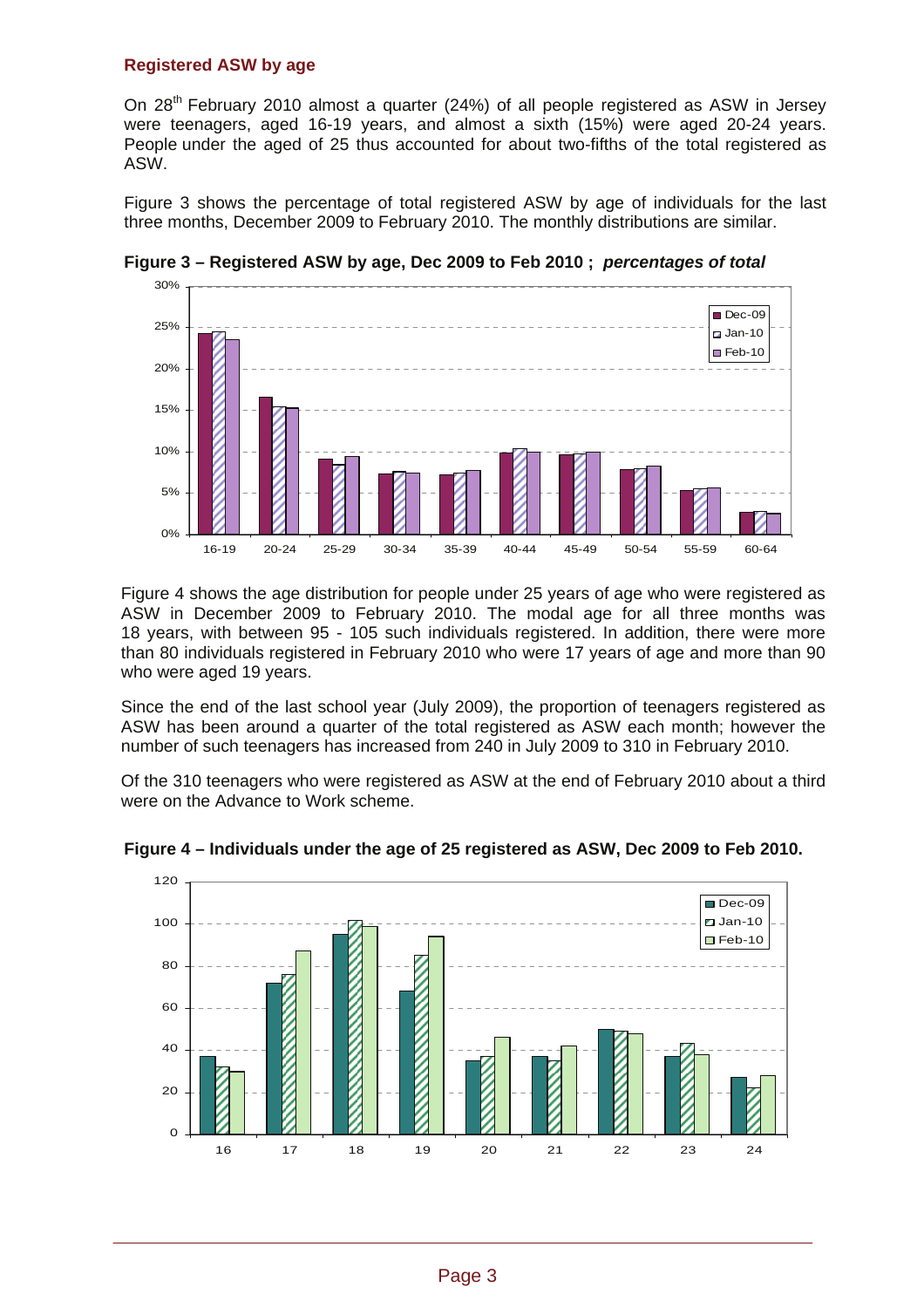#### **Registered ASW by age**

On 28<sup>th</sup> February 2010 almost a quarter (24%) of all people registered as ASW in Jersey were teenagers, aged 16-19 years, and almost a sixth (15%) were aged 20-24 years. People under the aged of 25 thus accounted for about two-fifths of the total registered as ASW.

Figure 3 shows the percentage of total registered ASW by age of individuals for the last three months, December 2009 to February 2010. The monthly distributions are similar.



**Figure 3 – Registered ASW by age, Dec 2009 to Feb 2010 ;** *percentages of total* 

Figure 4 shows the age distribution for people under 25 years of age who were registered as ASW in December 2009 to February 2010. The modal age for all three months was 18 years, with between 95 - 105 such individuals registered. In addition, there were more than 80 individuals registered in February 2010 who were 17 years of age and more than 90 who were aged 19 years.

Since the end of the last school year (July 2009), the proportion of teenagers registered as ASW has been around a quarter of the total registered as ASW each month; however the number of such teenagers has increased from 240 in July 2009 to 310 in February 2010.

Of the 310 teenagers who were registered as ASW at the end of February 2010 about a third were on the Advance to Work scheme.



**Figure 4 – Individuals under the age of 25 registered as ASW, Dec 2009 to Feb 2010.**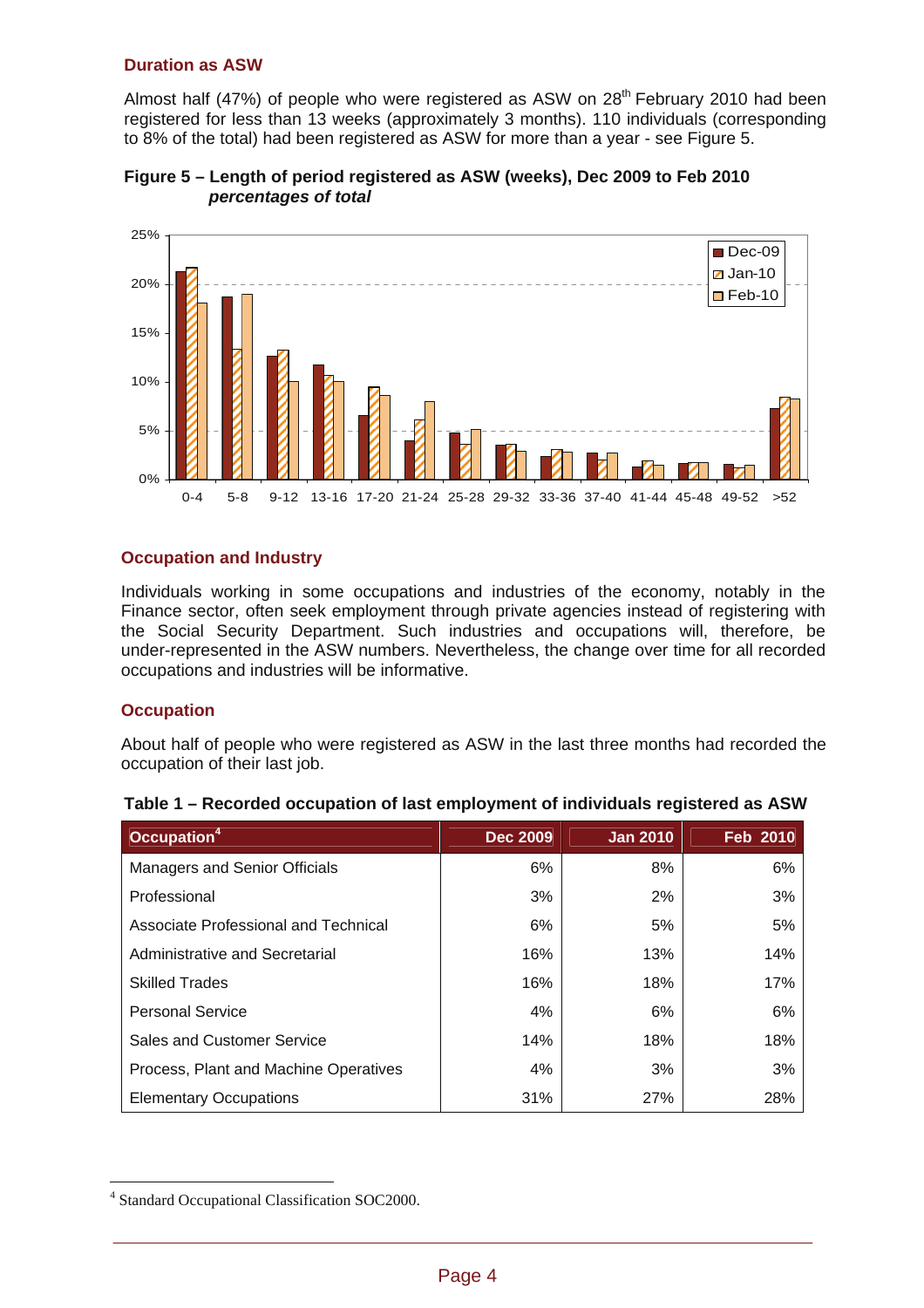### **Duration as ASW**

Almost half (47%) of people who were registered as ASW on  $28<sup>th</sup>$  February 2010 had been registered for less than 13 weeks (approximately 3 months). 110 individuals (corresponding to 8% of the total) had been registered as ASW for more than a year - see Figure 5.





### **Occupation and Industry**

Individuals working in some occupations and industries of the economy, notably in the Finance sector, often seek employment through private agencies instead of registering with the Social Security Department. Such industries and occupations will, therefore, be under-represented in the ASW numbers. Nevertheless, the change over time for all recorded occupations and industries will be informative.

#### **Occupation**

 $\overline{a}$ 

About half of people who were registered as ASW in the last three months had recorded the occupation of their last job.

| Occupation <sup>4</sup>               | <b>Dec 2009</b> | <b>Jan 2010</b> | <b>Feb 2010</b> |
|---------------------------------------|-----------------|-----------------|-----------------|
| <b>Managers and Senior Officials</b>  | 6%              | 8%              | 6%              |
| Professional                          | 3%              | 2%              | 3%              |
| Associate Professional and Technical  | 6%              | 5%              | 5%              |
| Administrative and Secretarial        | 16%             | 13%             | 14%             |
| <b>Skilled Trades</b>                 | 16%             | 18%             | 17%             |
| <b>Personal Service</b>               | 4%              | 6%              | 6%              |
| Sales and Customer Service            | 14%             | 18%             | 18%             |
| Process, Plant and Machine Operatives | 4%              | 3%              | 3%              |
| <b>Elementary Occupations</b>         | 31%             | 27%             | 28%             |

| Table 1 - Recorded occupation of last employment of individuals registered as ASW |  |  |
|-----------------------------------------------------------------------------------|--|--|
|                                                                                   |  |  |

<sup>4</sup> Standard Occupational Classification SOC2000.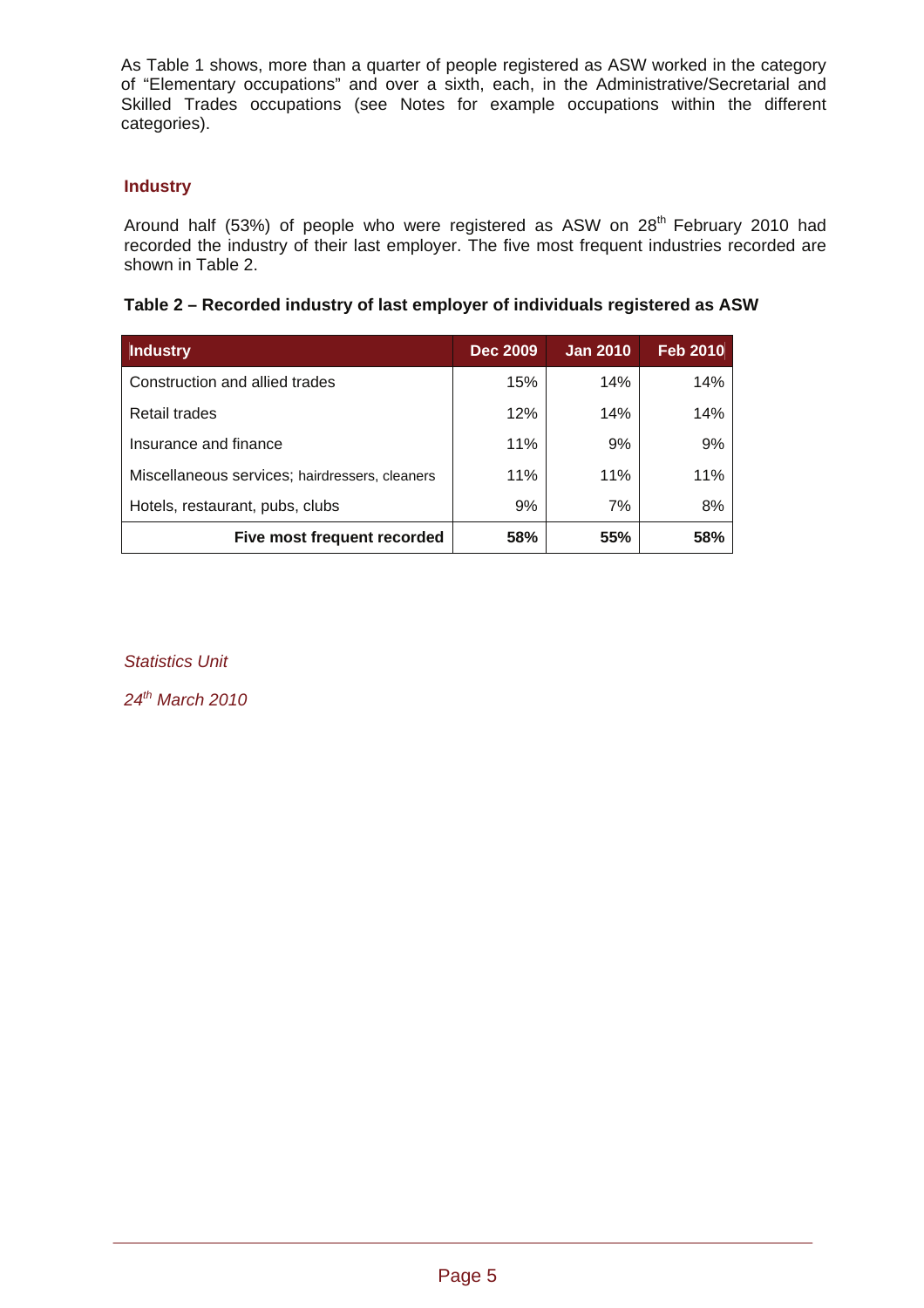As Table 1 shows, more than a quarter of people registered as ASW worked in the category of "Elementary occupations" and over a sixth, each, in the Administrative/Secretarial and Skilled Trades occupations (see Notes for example occupations within the different categories).

## **Industry**

Around half (53%) of people who were registered as ASW on 28<sup>th</sup> February 2010 had recorded the industry of their last employer. The five most frequent industries recorded are shown in Table 2.

|  |  | Table 2 – Recorded industry of last employer of individuals registered as ASW |
|--|--|-------------------------------------------------------------------------------|
|--|--|-------------------------------------------------------------------------------|

| <b>Industry</b>                                | <b>Dec 2009</b> | <b>Jan 2010</b> | <b>Feb 2010</b> |
|------------------------------------------------|-----------------|-----------------|-----------------|
| Construction and allied trades                 | 15%             | 14%             | 14%             |
| Retail trades                                  | 12%             | 14%             | 14%             |
| Insurance and finance                          | 11%             | 9%              | 9%              |
| Miscellaneous services; hairdressers, cleaners | 11%             | 11%             | 11%             |
| Hotels, restaurant, pubs, clubs                | 9%              | 7%              | 8%              |
| Five most frequent recorded                    | 58%             | 55%             | 58%             |

*Statistics Unit* 

*24th March 2010*